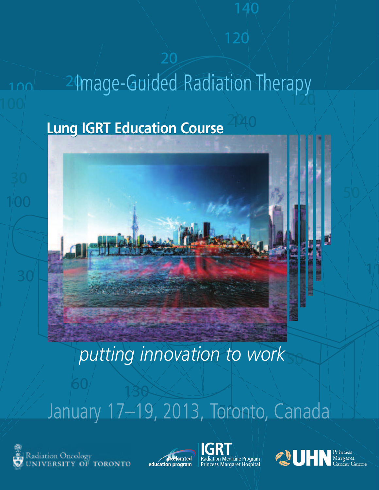# 24 mage-Guided Radiation Therapy

#### **Lung IGRT Education Course**



## *putting innovation to work*

## January 17-19, 2013, Toronto, Canada







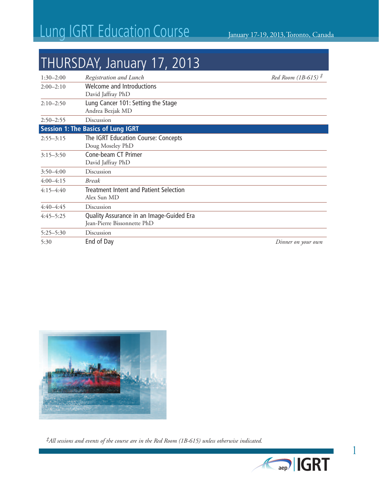#### THURSDAY, January 17, 2013

| $1:30 - 2:00$ | Registration and Lunch                                                  | Red Room (1B-615) <sup>#</sup> |
|---------------|-------------------------------------------------------------------------|--------------------------------|
| $2:00-2:10$   | <b>Welcome and Introductions</b><br>David Jaffray PhD                   |                                |
| $2:10-2:50$   | Lung Cancer 101: Setting the Stage<br>Andrea Bezjak MD                  |                                |
| $2:50 - 2:55$ | Discussion                                                              |                                |
|               | <b>Session 1: The Basics of Lung IGRT</b>                               |                                |
| $2:55 - 3:15$ | The IGRT Education Course: Concepts<br>Doug Moseley PhD                 |                                |
| $3:15 - 3:50$ | Cone-beam CT Primer<br>David Jaffray PhD                                |                                |
| $3:50 - 4:00$ | Discussion                                                              |                                |
| $4:00-4:15$   | <b>Break</b>                                                            |                                |
| $4:15-4:40$   | Treatment Intent and Patient Selection<br>Alex Sun MD                   |                                |
| $4:40-4:45$   | Discussion                                                              |                                |
| $4:45 - 5:25$ | Quality Assurance in an Image-Guided Era<br>Jean-Pierre Bissonnette PhD |                                |
| $5:25 - 5:30$ | Discussion                                                              |                                |
| 5:30          | End of Day                                                              | Dinner on your own             |



*‡All sessions and events of the course are in the Red Room (1B-615) unless otherwise indicated.*

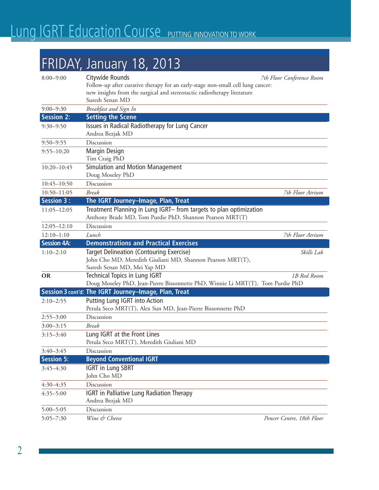#### FRIDAY, January 18, 2013

| $8:00 - 9:00$      | Citywide Rounds<br>Follow-up after curative therapy for an early-stage non-small cell lung cancer:<br>new insights from the surgical and stereotactic radiotherapy literature<br>Suresh Senan MD | 7th Floor Conference Room |
|--------------------|--------------------------------------------------------------------------------------------------------------------------------------------------------------------------------------------------|---------------------------|
| $9:00 - 9:30$      | Breakfast and Sign In                                                                                                                                                                            |                           |
| <b>Session 2:</b>  | <b>Setting the Scene</b>                                                                                                                                                                         |                           |
| $9:30 - 9:50$      | Issues in Radical Radiotherapy for Lung Cancer<br>Andrea Bezjak MD                                                                                                                               |                           |
| $9:50 - 9:55$      | Discussion                                                                                                                                                                                       |                           |
| $9:55 - 10:20$     | <b>Margin Design</b><br>Tim Craig PhD                                                                                                                                                            |                           |
| $10:20 - 10:45$    | Simulation and Motion Management<br>Doug Moseley PhD                                                                                                                                             |                           |
| $10:45 - 10:50$    | Discussion                                                                                                                                                                                       |                           |
| $10:50 - 11:05$    | <b>Break</b>                                                                                                                                                                                     | 7th Floor Atrium          |
| <b>Session 3:</b>  | The IGRT Journey-Image, Plan, Treat                                                                                                                                                              |                           |
| $11:05 - 12:05$    | Treatment Planning in Lung IGRT- from targets to plan optimization<br>Anthony Brade MD, Tom Purdie PhD, Shannon Pearson MRT(T)                                                                   |                           |
| $12:05 - 12:10$    | Discussion                                                                                                                                                                                       |                           |
| $12:10-1:10$       | Lunch                                                                                                                                                                                            | 7th Floor Atrium          |
| <b>Session 4A:</b> | <b>Demonstrations and Practical Exercises</b>                                                                                                                                                    |                           |
| $1:10-2:10$        | <b>Target Delineation (Contouring Exercise)</b><br>John Cho MD, Meredith Giuliani MD, Shannon Pearson MRT(T),                                                                                    | Skills Lab                |
|                    | Suresh Senan MD, Mei Yap MD                                                                                                                                                                      |                           |
| <b>OR</b>          | <b>Technical Topics in Lung IGRT</b>                                                                                                                                                             | 1B Red Room               |
|                    | Doug Moseley PhD, Jean-Pierre Bissonnette PhD, Winnie Li MRT(T), Tom Purdie PhD                                                                                                                  |                           |
|                    | Session 3 cont'd: The IGRT Journey-Image, Plan, Treat                                                                                                                                            |                           |
| $2:10-2:55$        | Putting Lung IGRT into Action<br>Petula Seco MRT(T), Alex Sun MD, Jean-Pierre Bissonnette PhD                                                                                                    |                           |
| $2:55 - 3:00$      | Discussion                                                                                                                                                                                       |                           |
| $3:00 - 3:15$      | Break                                                                                                                                                                                            |                           |
| $3:15 - 3:40$      | Lung IGRT at the Front Lines<br>Petula Seco MRT(T), Meredith Giuliani MD                                                                                                                         |                           |
| $3:40 - 3:45$      | Discussion                                                                                                                                                                                       |                           |
| <b>Session 5:</b>  | <b>Beyond Conventional IGRT</b>                                                                                                                                                                  |                           |
| $3:45 - 4:30$      | <b>IGRT in Lung SBRT</b><br>John Cho MD                                                                                                                                                          |                           |
| $4:30 - 4:35$      | Discussion                                                                                                                                                                                       |                           |
| $4:35 - 5:00$      | <b>IGRT</b> in Palliative Lung Radiation Therapy<br>Andrea Bezjak MD                                                                                                                             |                           |
| $5:00 - 5:05$      | Discussion                                                                                                                                                                                       |                           |
| $5:05 - 7:30$      | Wine & Cheese                                                                                                                                                                                    | Pencer Centre, 18th Floor |